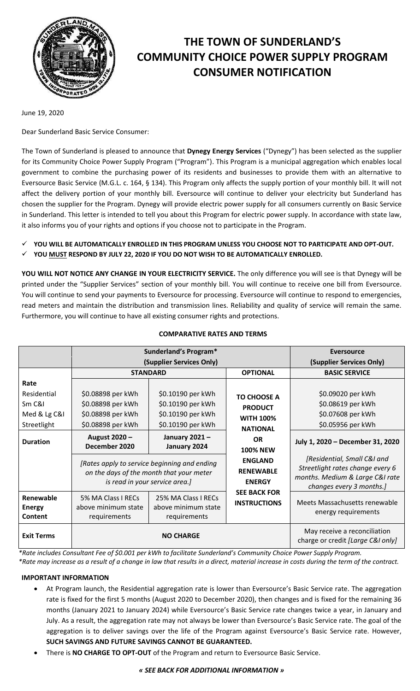

# **THE TOWN OF SUNDERLAND'S COMMUNITY CHOICE POWER SUPPLY PROGRAM CONSUMER NOTIFICATION**

June 19, 2020

Dear Sunderland Basic Service Consumer:

The Town of Sunderland is pleased to announce that **Dynegy Energy Services** ("Dynegy") has been selected as the supplier for its Community Choice Power Supply Program ("Program"). This Program is a municipal aggregation which enables local government to combine the purchasing power of its residents and businesses to provide them with an alternative to Eversource Basic Service (M.G.L. c. 164, § 134). This Program only affects the supply portion of your monthly bill. It will not affect the delivery portion of your monthly bill. Eversource will continue to deliver your electricity but Sunderland has chosen the supplier for the Program. Dynegy will provide electric power supply for all consumers currently on Basic Service in Sunderland. This letter is intended to tell you about this Program for electric power supply. In accordance with state law, it also informs you of your rights and options if you choose not to participate in the Program.

- **YOU WILL BE AUTOMATICALLY ENROLLED IN THIS PROGRAM UNLESS YOU CHOOSE NOT TO PARTICIPATE AND OPT-OUT.**
- **YOU MUST RESPOND BY JULY 22, 2020 IF YOU DO NOT WISH TO BE AUTOMATICALLY ENROLLED.**

**YOU WILL NOT NOTICE ANY CHANGE IN YOUR ELECTRICITY SERVICE.** The only difference you will see is that Dynegy will be printed under the "Supplier Services" section of your monthly bill. You will continue to receive one bill from Eversource. You will continue to send your payments to Eversource for processing. Eversource will continue to respond to emergencies, read meters and maintain the distribution and transmission lines. Reliability and quality of service will remain the same. Furthermore, you will continue to have all existing consumer rights and protections.

|                                       | Sunderland's Program*                                                                                                      |                                                            |                                                     | Eversource                                                                                                                     |
|---------------------------------------|----------------------------------------------------------------------------------------------------------------------------|------------------------------------------------------------|-----------------------------------------------------|--------------------------------------------------------------------------------------------------------------------------------|
|                                       | (Supplier Services Only)                                                                                                   |                                                            |                                                     | (Supplier Services Only)                                                                                                       |
|                                       | <b>STANDARD</b>                                                                                                            |                                                            | <b>OPTIONAL</b>                                     | <b>BASIC SERVICE</b>                                                                                                           |
| Rate                                  |                                                                                                                            |                                                            |                                                     |                                                                                                                                |
| Residential                           | \$0.08898 per kWh                                                                                                          | \$0.10190 per kWh                                          | <b>TO CHOOSE A</b>                                  | \$0.09020 per kWh                                                                                                              |
| Sm C&I                                | \$0.08898 per kWh                                                                                                          | \$0.10190 per kWh                                          | <b>PRODUCT</b>                                      | \$0.08619 per kWh                                                                                                              |
| Med & Lg C&I                          | \$0.08898 per kWh                                                                                                          | \$0.10190 per kWh                                          | <b>WITH 100%</b>                                    | \$0.07608 per kWh                                                                                                              |
| Streetlight                           | \$0.08898 per kWh                                                                                                          | \$0.10190 per kWh                                          | <b>NATIONAL</b>                                     | \$0.05956 per kWh                                                                                                              |
| <b>Duration</b>                       | August 2020 -<br>December 2020                                                                                             | January 2021-<br>January 2024                              | OR.<br><b>100% NEW</b>                              | July 1, 2020 - December 31, 2020                                                                                               |
|                                       | [Rates apply to service beginning and ending<br>on the days of the month that your meter<br>is read in your service area.] |                                                            | <b>ENGLAND</b><br><b>RENEWABLE</b><br><b>ENERGY</b> | [Residential, Small C&I and<br>Streetlight rates change every 6<br>months. Medium & Large C&I rate<br>changes every 3 months.] |
| Renewable<br><b>Energy</b><br>Content | 5% MA Class I RECs<br>above minimum state<br>requirements                                                                  | 25% MA Class I RECs<br>above minimum state<br>requirements | <b>SEE BACK FOR</b><br><b>INSTRUCTIONS</b>          | Meets Massachusetts renewable<br>energy requirements                                                                           |
| <b>Exit Terms</b>                     | <b>NO CHARGE</b>                                                                                                           |                                                            |                                                     | May receive a reconciliation<br>charge or credit [Large C&I only]                                                              |

## **COMPARATIVE RATES AND TERMS**

*\*Rate includes Consultant Fee of \$0.001 per kWh to facilitate Sunderland's Community Choice Power Supply Program. \*Rate may increase as a result of a change in law that results in a direct, material increase in costs during the term of the contract.*

## **IMPORTANT INFORMATION**

- At Program launch, the Residential aggregation rate is lower than Eversource's Basic Service rate. The aggregation rate is fixed for the first 5 months (August 2020 to December 2020), then changes and is fixed for the remaining 36 months (January 2021 to January 2024) while Eversource's Basic Service rate changes twice a year, in January and July. As a result, the aggregation rate may not always be lower than Eversource's Basic Service rate. The goal of the aggregation is to deliver savings over the life of the Program against Eversource's Basic Service rate. However, **SUCH SAVINGS AND FUTURE SAVINGS CANNOT BE GUARANTEED.**
- There is **NO CHARGE TO OPT-OUT** of the Program and return to Eversource Basic Service.